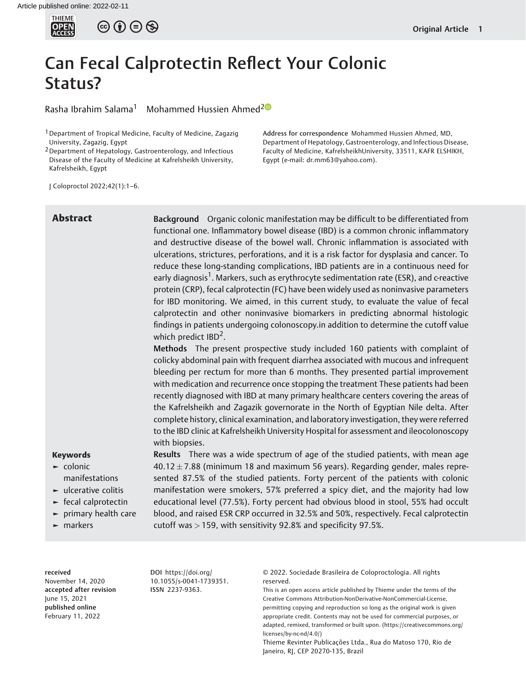

 $\circledcirc$   $\oplus$   $\circledcirc$ 

# Can Fecal Calprotectin Reflect Your Colonic Status?

Rasha Ibrahim Salama<sup>1</sup> Mohammed Hussien Ahmed<sup>[2](https://orcid.org/0000-0003-1761-3527)0</sup>

J Coloproctol 2022;42(1):1–6.

# Address for correspondence Mohammed Hussien Ahmed, MD, Department of Hepatology, Gastroenterology, and Infectious Disease, Faculty of Medicine, KafrelsheikhUniversity, 33511, KAFR ELSHIKH, Egypt (e-mail: [dr.mm63@yahoo.com\)](mailto:dr.mm63@yahoo.com).

Abstract Background Organic colonic manifestation may be difficult to be differentiated from functional one. Inflammatory bowel disease (IBD) is a common chronic inflammatory and destructive disease of the bowel wall. Chronic inflammation is associated with ulcerations, strictures, perforations, and it is a risk factor for dysplasia and cancer. To reduce these long-standing complications, IBD patients are in a continuous need for early diagnosis<sup>1</sup>. Markers, such as erythrocyte sedimentation rate (ESR), and c-reactive protein (CRP), fecal calprotectin (FC) have been widely used as noninvasive parameters for IBD monitoring. We aimed, in this current study, to evaluate the value of fecal calprotectin and other noninvasive biomarkers in predicting abnormal histologic findings in patients undergoing colonoscopy.in addition to determine the cutoff value which predict  $IBD<sup>2</sup>$ .

> Methods The present prospective study included 160 patients with complaint of colicky abdominal pain with frequent diarrhea associated with mucous and infrequent bleeding per rectum for more than 6 months. They presented partial improvement with medication and recurrence once stopping the treatment These patients had been recently diagnosed with IBD at many primary healthcare centers covering the areas of the Kafrelsheikh and Zagazik governorate in the North of Egyptian Nile delta. After complete history, clinical examination, and laboratory investigation, they were referred to the IBD clinic at Kafrelsheikh University Hospital for assessment and ileocolonoscopy with biopsies.

# Keywords

- ► colonic manifestations
- ► ulcerative colitis
- ► fecal calprotectin
- ► primary health care
- ► markers

Results There was a wide spectrum of age of the studied patients, with mean age  $40.12 \pm 7.88$  (minimum 18 and maximum 56 years). Regarding gender, males represented 87.5% of the studied patients. Forty percent of the patients with colonic manifestation were smokers, 57% preferred a spicy diet, and the majority had low educational level (77.5%). Forty percent had obvious blood in stool, 55% had occult blood, and raised ESR CRP occurred in 32.5% and 50%, respectively. Fecal calprotectin cutoff was > 159, with sensitivity 92.8% and specificity 97.5%.

received November 14, 2020 accepted after revision June 15, 2021 published online February 11, 2022

DOI [https://doi.org/](https://doi.org/10.1055/s-0041-1739351) [10.1055/s-0041-1739351](https://doi.org/10.1055/s-0041-1739351). ISSN 2237-9363.

© 2022. Sociedade Brasileira de Coloproctologia. All rights reserved.

This is an open access article published by Thieme under the terms of the Creative Commons Attribution-NonDerivative-NonCommercial-License, permitting copying and reproduction so long as the original work is given appropriate credit. Contents may not be used for commercial purposes, or adapted, remixed, transformed or built upon. (https://creativecommons.org/ licenses/by-nc-nd/4.0/)

Thieme Revinter Publicações Ltda., Rua do Matoso 170, Rio de Janeiro, RJ, CEP 20270-135, Brazil

<sup>&</sup>lt;sup>1</sup> Department of Tropical Medicine, Faculty of Medicine, Zagazig University, Zagazig, Egypt

<sup>2</sup>Department of Hepatology, Gastroenterology, and Infectious Disease of the Faculty of Medicine at Kafrelsheikh University, Kafrelsheikh, Egypt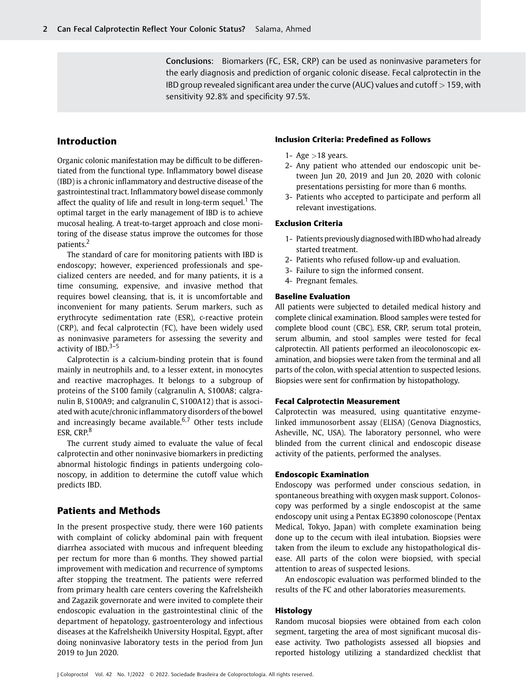Conclusions: Biomarkers (FC, ESR, CRP) can be used as noninvasive parameters for the early diagnosis and prediction of organic colonic disease. Fecal calprotectin in the IBD group revealed significant area under the curve (AUC) values and cutoff > 159, with sensitivity 92.8% and specificity 97.5%.

# Introduction

Organic colonic manifestation may be difficult to be differentiated from the functional type. Inflammatory bowel disease (IBD) is a chronic inflammatory and destructive disease of the gastrointestinal tract. Inflammatory bowel disease commonly affect the quality of life and result in long-term sequel.<sup>1</sup> The optimal target in the early management of IBD is to achieve mucosal healing. A treat-to-target approach and close monitoring of the disease status improve the outcomes for those patients.<sup>2</sup>

The standard of care for monitoring patients with IBD is endoscopy; however, experienced professionals and specialized centers are needed, and for many patients, it is a time consuming, expensive, and invasive method that requires bowel cleansing, that is, it is uncomfortable and inconvenient for many patients. Serum markers, such as erythrocyte sedimentation rate (ESR), c-reactive protein (CRP), and fecal calprotectin (FC), have been widely used as noninvasive parameters for assessing the severity and activity of IBD. $3-5$ 

Calprotectin is a calcium-binding protein that is found mainly in neutrophils and, to a lesser extent, in monocytes and reactive macrophages. It belongs to a subgroup of proteins of the S100 family (calgranulin A, S100A8; calgranulin B, S100A9; and calgranulin C, S100A12) that is associated with acute/chronic inflammatory disorders of the bowel and increasingly became available. $6,7$  Other tests include ESR, CRP.<sup>8</sup>

The current study aimed to evaluate the value of fecal calprotectin and other noninvasive biomarkers in predicting abnormal histologic findings in patients undergoing colonoscopy, in addition to determine the cutoff value which predicts IBD.

# Patients and Methods

In the present prospective study, there were 160 patients with complaint of colicky abdominal pain with frequent diarrhea associated with mucous and infrequent bleeding per rectum for more than 6 months. They showed partial improvement with medication and recurrence of symptoms after stopping the treatment. The patients were referred from primary health care centers covering the Kafrelsheikh and Zagazik governorate and were invited to complete their endoscopic evaluation in the gastrointestinal clinic of the department of hepatology, gastroenterology and infectious diseases at the Kafrelsheikh University Hospital, Egypt, after doing noninvasive laboratory tests in the period from Jun 2019 to Jun 2020.

#### Inclusion Criteria: Predefined as Follows

- 1- Age  $>18$  years.
- 2- Any patient who attended our endoscopic unit between Jun 20, 2019 and Jun 20, 2020 with colonic presentations persisting for more than 6 months.
- 3- Patients who accepted to participate and perform all relevant investigations.

#### Exclusion Criteria

- 1- Patients previously diagnosed with IBD who had already started treatment.
- 2- Patients who refused follow-up and evaluation.
- 3- Failure to sign the informed consent.
- 4- Pregnant females.

# Baseline Evaluation

All patients were subjected to detailed medical history and complete clinical examination. Blood samples were tested for complete blood count (CBC), ESR, CRP, serum total protein, serum albumin, and stool samples were tested for fecal calprotectin. All patients performed an ileocolonoscopic examination, and biopsies were taken from the terminal and all parts of the colon, with special attention to suspected lesions. Biopsies were sent for confirmation by histopathology.

#### Fecal Calprotectin Measurement

Calprotectin was measured, using quantitative enzymelinked immunosorbent assay (ELISA) (Genova Diagnostics, Asheville, NC, USA). The laboratory personnel, who were blinded from the current clinical and endoscopic disease activity of the patients, performed the analyses.

#### Endoscopic Examination

Endoscopy was performed under conscious sedation, in spontaneous breathing with oxygen mask support. Colonoscopy was performed by a single endoscopist at the same endoscopy unit using a Pentax EG3890 colonoscope (Pentax Medical, Tokyo, Japan) with complete examination being done up to the cecum with ileal intubation. Biopsies were taken from the ileum to exclude any histopathological disease. All parts of the colon were biopsied, with special attention to areas of suspected lesions.

An endoscopic evaluation was performed blinded to the results of the FC and other laboratories measurements.

#### Histology

Random mucosal biopsies were obtained from each colon segment, targeting the area of most significant mucosal disease activity. Two pathologists assessed all biopsies and reported histology utilizing a standardized checklist that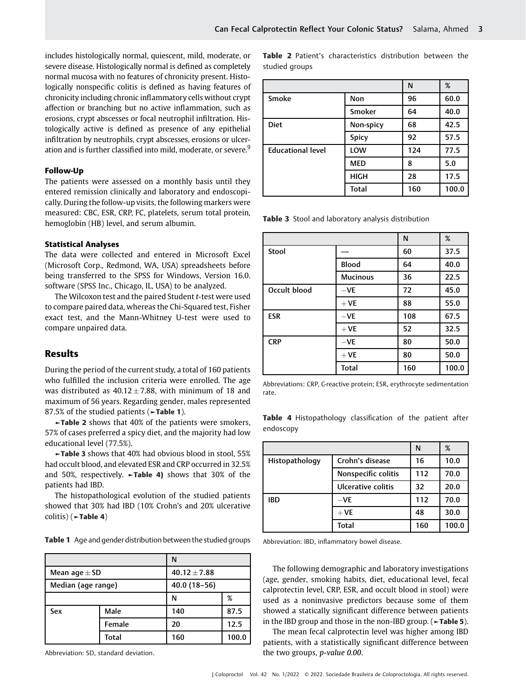includes histologically normal, quiescent, mild, moderate, or severe disease. Histologically normal is defined as completely normal mucosa with no features of chronicity present. Histologically nonspecific colitis is defined as having features of chronicity including chronic inflammatory cells without crypt affection or branching but no active inflammation, such as erosions, crypt abscesses or focal neutrophil infiltration. Histologically active is defined as presence of any epithelial infiltration by neutrophils, crypt abscesses, erosions or ulceration and is further classified into mild, moderate, or severe.<sup>9</sup>

#### Follow-Up

The patients were assessed on a monthly basis until they entered remission clinically and laboratory and endoscopically. During the follow-up visits, the following markers were measured: CBC, ESR, CRP, FC, platelets, serum total protein, hemoglobin (HB) level, and serum albumin.

#### Statistical Analyses

The data were collected and entered in Microsoft Excel (Microsoft Corp., Redmond, WA, USA) spreadsheets before being transferred to the SPSS for Windows, Version 16.0. software (SPSS Inc., Chicago, IL, USA) to be analyzed.

The Wilcoxon test and the paired Student t-test were used to compare paired data, whereas the Chi-Squared test, Fisher exact test, and the Mann-Whitney U-test were used to compare unpaired data.

# Results

During the period of the current study, a total of 160 patients who fulfilled the inclusion criteria were enrolled. The age was distributed as  $40.12 \pm 7.88$ , with minimum of 18 and maximum of 56 years. Regarding gender, males represented 87.5% of the studied patients (►Table 1).

►Table 2 shows that 40% of the patients were smokers, 57% of cases preferred a spicy diet, and the majority had low educational level (77.5%).

►Table 3 shows that 40% had obvious blood in stool, 55% had occult blood, and elevated ESR and CRP occurred in 32.5% and 50%, respectively.  $\blacktriangleright$  Table 4) shows that 30% of the patients had IBD.

The histopathological evolution of the studied patients showed that 30% had IBD (10% Crohn's and 20% ulcerative colitis) (►Table 4)

Table 1 Age and gender distribution between the studied groups

|                                       |              | N            |       |  |
|---------------------------------------|--------------|--------------|-------|--|
| $40.12 \pm 7.88$<br>Mean age $\pm$ SD |              |              |       |  |
| Median (age range)                    |              | 40.0 (18-56) |       |  |
|                                       |              | N            | %     |  |
| Sex                                   | Male         | 140          | 87.5  |  |
|                                       | Female       | 20           | 12.5  |  |
|                                       | <b>Total</b> | 160          | 100.0 |  |

Abbreviation: SD, standard deviation.

Table 2 Patient's characteristics distribution between the studied groups

|                          |              | N   | %     |
|--------------------------|--------------|-----|-------|
| Smoke                    | Non          | 96  | 60.0  |
|                          | Smoker       | 64  | 40.0  |
| <b>Diet</b>              | Non-spicy    | 68  | 42.5  |
|                          | Spicy        | 92  | 57.5  |
| <b>Educational level</b> | LOW          | 124 | 77.5  |
|                          | <b>MED</b>   | 8   | 5.0   |
|                          | <b>HIGH</b>  | 28  | 17.5  |
|                          | <b>Total</b> | 160 | 100.0 |

Table 3 Stool and laboratory analysis distribution

|              |                 | N   | %     |
|--------------|-----------------|-----|-------|
| Stool        |                 | 60  | 37.5  |
|              | <b>Blood</b>    | 64  | 40.0  |
|              | <b>Mucinous</b> | 36  | 22.5  |
| Occult blood | $-VE$           | 72  | 45.0  |
|              | $+VE$           | 88  | 55.0  |
| <b>ESR</b>   | $-VE$           | 108 | 67.5  |
|              | $+VE$           | 52  | 32.5  |
| <b>CRP</b>   | $-VE$           | 80  | 50.0  |
|              | $+VE$           | 80  | 50.0  |
|              | <b>Total</b>    | 160 | 100.0 |

Abbreviations: CRP, C-reactive protein; ESR, erythrocyte sedimentation rate.

Table 4 Histopathology classification of the patient after endoscopy

|                |                     | N   | %     |
|----------------|---------------------|-----|-------|
| Histopathology | Crohn's disease     | 16  | 10.0  |
|                | Nonspecific colitis | 112 | 70.0  |
|                | Ulcerative colitis  | 32  | 20.0  |
| <b>IBD</b>     | $-VE$               | 112 | 70.0  |
|                | $+VE$               | 48  | 30.0  |
|                | <b>Total</b>        | 160 | 100.0 |

Abbreviation: IBD, inflammatory bowel disease.

The following demographic and laboratory investigations (age, gender, smoking habits, diet, educational level, fecal calprotectin level, CRP, ESR, and occult blood in stool) were used as a noninvasive predictors because some of them showed a statically significant difference between patients in the IBD group and those in the non-IBD group. (►Table 5).

The mean fecal calprotectin level was higher among IBD patients, with a statistically significant difference between the two groups, p-value 0.00.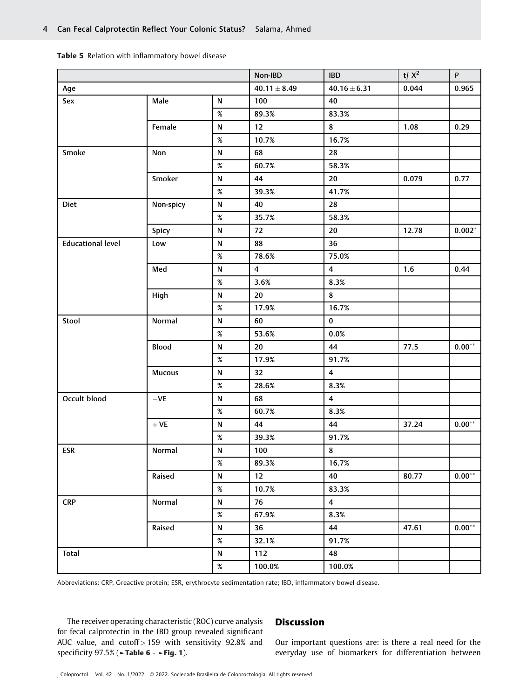|  |  |  | Table 5 Relation with inflammatory bowel disease |  |  |
|--|--|--|--------------------------------------------------|--|--|
|--|--|--|--------------------------------------------------|--|--|

|                          |                    |           | Non-IBD          | <b>IBD</b>       | t/ $X^2$ | $\boldsymbol{P}$  |
|--------------------------|--------------------|-----------|------------------|------------------|----------|-------------------|
| Age                      |                    |           | $40.11 \pm 8.49$ | $40.16 \pm 6.31$ | 0.044    | 0.965             |
| Sex                      | Male               | N         | 100              | 40               |          |                   |
|                          |                    | $\%$      | 89.3%            | 83.3%            |          |                   |
|                          | Female             | ${\sf N}$ | 12               | 8                | 1.08     | 0.29              |
|                          |                    | $\%$      | 10.7%            | 16.7%            |          |                   |
| Smoke                    | Non                | ${\sf N}$ | 68               | 28               |          |                   |
|                          |                    | $\%$      | 60.7%            | 58.3%            |          |                   |
|                          | Smoker             | ${\sf N}$ | 44               | 20               | 0.079    | 0.77              |
|                          |                    | $\%$      | 39.3%            | 41.7%            |          |                   |
| <b>Diet</b>              | Non-spicy          | N         | 40               | 28               |          |                   |
|                          |                    | $\%$      | 35.7%            | 58.3%            |          |                   |
|                          | Spicy              | N         | 72               | 20               | 12.78    | $0.002*$          |
| <b>Educational level</b> | Low                | N         | 88               | 36               |          |                   |
|                          |                    | $\%$      | 78.6%            | 75.0%            |          |                   |
|                          | Med                | ${\sf N}$ | $\overline{4}$   | $\overline{4}$   | 1.6      | 0.44              |
|                          |                    | $\%$      | 3.6%             | 8.3%             |          |                   |
|                          | High               | N         | 20               | 8                |          |                   |
|                          |                    | $\%$      | 17.9%            | 16.7%            |          |                   |
| Stool                    | Normal             | N         | 60               | $\bf{0}$         |          |                   |
|                          |                    | $\%$      | 53.6%            | 0.0%             |          |                   |
|                          | Blood              | N         | 20               | 44               | 77.5     | $0.00^{\ast\ast}$ |
|                          |                    | $\%$      | 17.9%            | 91.7%            |          |                   |
|                          | <b>Mucous</b>      | N         | 32               | 4                |          |                   |
|                          |                    | $\%$      | 28.6%            | 8.3%             |          |                   |
| Occult blood             | $-\mathsf{VE}$     | N         | 68               | 4                |          |                   |
|                          |                    | $\%$      | 60.7%            | 8.3%             |          |                   |
|                          | $+ \, \mathsf{VE}$ | N         | 44               | 44               | 37.24    | $0.00^{\ast\ast}$ |
|                          |                    | $\%$      | 39.3%            | 91.7%            |          |                   |
| <b>ESR</b>               | Normal             | N         | 100              | 8                |          |                   |
|                          |                    | $\%$      | 89.3%            | 16.7%            |          |                   |
|                          | Raised             | N         | 12               | 40               | 80.77    | $0.00**$          |
|                          |                    | $\%$      | 10.7%            | 83.3%            |          |                   |
| <b>CRP</b>               | Normal             | N         | 76               | 4                |          |                   |
|                          |                    | $\%$      | 67.9%            | 8.3%             |          |                   |
|                          | Raised             | N         | 36               | 44               | 47.61    | $0.00^{\ast\ast}$ |
|                          |                    | $\%$      | 32.1%            | 91.7%            |          |                   |
| <b>Total</b>             |                    | N         | 112              | 48               |          |                   |
|                          |                    | $\%$      | 100.0%           | 100.0%           |          |                   |

Abbreviations: CRP, C-reactive protein; ESR, erythrocyte sedimentation rate; IBD, inflammatory bowel disease.

The receiver operating characteristic (ROC) curve analysis for fecal calprotectin in the IBD group revealed significant AUC value, and cutoff  $> 159$  with sensitivity 92.8% and specificity 97.5% (►Table 6 - ►Fig. 1).

## **Discussion**

Our important questions are: is there a real need for the everyday use of biomarkers for differentiation between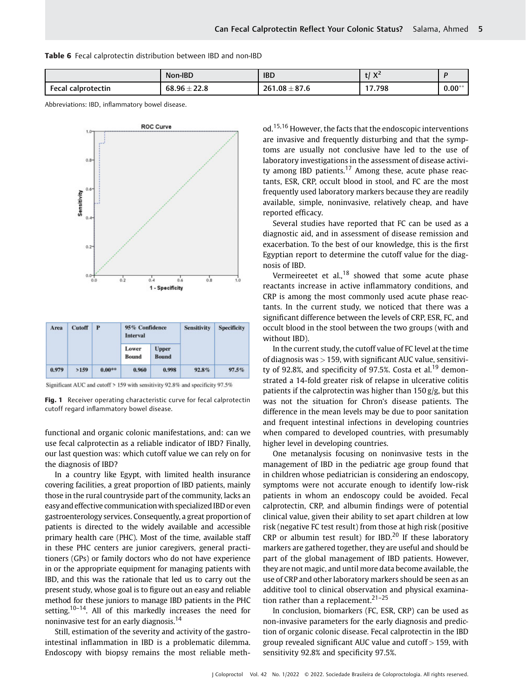|  |  |  |  | <b>Table 6</b> Fecal calprotectin distribution between IBD and non-IBD |  |  |  |  |  |  |
|--|--|--|--|------------------------------------------------------------------------|--|--|--|--|--|--|
|--|--|--|--|------------------------------------------------------------------------|--|--|--|--|--|--|

|                      | Non-IBD          | <b>IBD</b>              | V <sub>2</sub><br>$\mathbf{v}$<br> |          |
|----------------------|------------------|-------------------------|------------------------------------|----------|
| ` Fecal calprotectin | $68.96 \pm 22.8$ | $.1.08 \pm 87.6$<br>261 | 17.798                             | $0.00**$ |

Abbreviations: IBD, inflammatory bowel disease.



| Area  | Cutoff | ₽        | 95% Confidence<br><b>Interval</b> |                              | <b>Sensitivity</b> | <b>Specificity</b> |  |
|-------|--------|----------|-----------------------------------|------------------------------|--------------------|--------------------|--|
|       |        |          | Lower<br><b>Bound</b>             | <b>Upper</b><br><b>Bound</b> |                    |                    |  |
| 0.979 | >159   | $0.00**$ | 0.960                             | 0.998                        | 92.8%              | 97.5%              |  |

Significant AUC and cutoff > 159 with sensitivity 92.8% and specificity 97.5%

Fig. 1 Receiver operating characteristic curve for fecal calprotectin cutoff regard inflammatory bowel disease.

functional and organic colonic manifestations, and: can we use fecal calprotectin as a reliable indicator of IBD? Finally, our last question was: which cutoff value we can rely on for the diagnosis of IBD?

In a country like Egypt, with limited health insurance covering facilities, a great proportion of IBD patients, mainly those in the rural countryside part of the community, lacks an easy and effective communicationwith specialized IBD or even gastroenterology services. Consequently, a great proportion of patients is directed to the widely available and accessible primary health care (PHC). Most of the time, available staff in these PHC centers are junior caregivers, general practitioners (GPs) or family doctors who do not have experience in or the appropriate equipment for managing patients with IBD, and this was the rationale that led us to carry out the present study, whose goal is to figure out an easy and reliable method for these juniors to manage IBD patients in the PHC setting.<sup>10–14</sup>. All of this markedly increases the need for noninvasive test for an early diagnosis.<sup>14</sup>

Still, estimation of the severity and activity of the gastrointestinal inflammation in IBD is a problematic dilemma. Endoscopy with biopsy remains the most reliable method.<sup>15,16</sup> However, the facts that the endoscopic interventions are invasive and frequently disturbing and that the symptoms are usually not conclusive have led to the use of laboratory investigations in the assessment of disease activity among IBD patients.<sup>17</sup> Among these, acute phase reactants, ESR, CRP, occult blood in stool, and FC are the most frequently used laboratory markers because they are readily available, simple, noninvasive, relatively cheap, and have reported efficacy.

Several studies have reported that FC can be used as a diagnostic aid, and in assessment of disease remission and exacerbation. To the best of our knowledge, this is the first Egyptian report to determine the cutoff value for the diagnosis of IBD.

Vermeireetet et al., $^{18}$  showed that some acute phase reactants increase in active inflammatory conditions, and CRP is among the most commonly used acute phase reactants. In the current study, we noticed that there was a significant difference between the levels of CRP, ESR, FC, and occult blood in the stool between the two groups (with and without IBD).

In the current study, the cutoff value of FC level at the time of diagnosis was  $>$  159, with significant AUC value, sensitivity of 92.8%, and specificity of 97.5%. Costa et al.<sup>19</sup> demonstrated a 14-fold greater risk of relapse in ulcerative colitis patients if the calprotectin was higher than 150 g/g, but this was not the situation for Chron's disease patients. The difference in the mean levels may be due to poor sanitation and frequent intestinal infections in developing countries when compared to developed countries, with presumably higher level in developing countries.

One metanalysis focusing on noninvasive tests in the management of IBD in the pediatric age group found that in children whose pediatrician is considering an endoscopy, symptoms were not accurate enough to identify low-risk patients in whom an endoscopy could be avoided. Fecal calprotectin, CRP, and albumin findings were of potential clinical value, given their ability to set apart children at low risk (negative FC test result) from those at high risk (positive CRP or albumin test result) for IBD.<sup>20</sup> If these laboratory markers are gathered together, they are useful and should be part of the global management of IBD patients. However, they are not magic, and until more data become available, the use of CRP and other laboratory markers should be seen as an additive tool to clinical observation and physical examination rather than a replacement. $21-25$ 

In conclusion, biomarkers (FC, ESR, CRP) can be used as non-invasive parameters for the early diagnosis and prediction of organic colonic disease. Fecal calprotectin in the IBD group revealed significant AUC value and cutoff  $>$  159, with sensitivity 92.8% and specificity 97.5%.